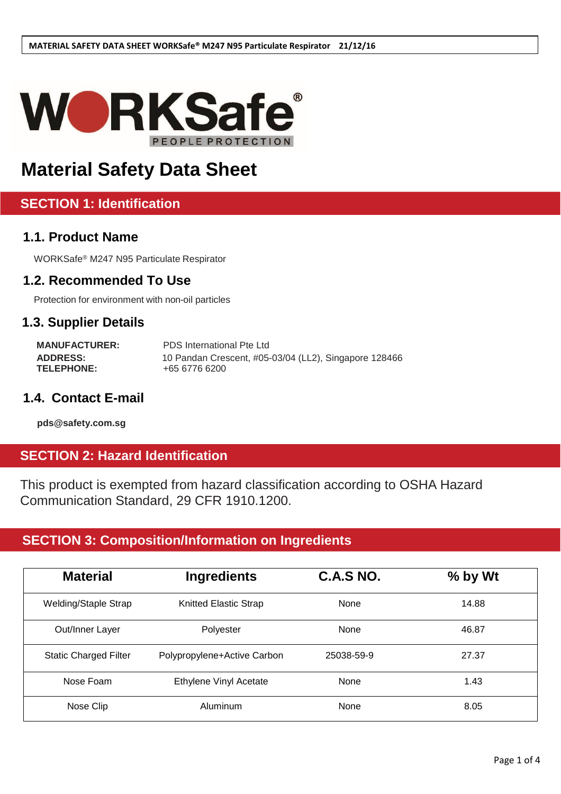

# **Material Safety Data Sheet**

### **SECTION 1: Identification**

### **1.1. Product Name**

WORKSafe® M247 N95 Particulate Respirator

#### **1.2. Recommended To Use**

Protection for environment with non-oil particles

#### **1.3. Supplier Details**

 **MANUFACTURER:** PDS International Pte Ltd **ADDRESS:** 10 Pandan Crescent, #05-03/04 (LL2), Singapore 128466<br> **TELEPHONE:** +65 6776 6200  **TELEPHONE:** +65 6776 6200

#### **1.4. Contact E-mail**

**[pds@safety.com.](mailto:sales@makrite.com)sg**

### **SECTION 2: Hazard Identification**

This product is exempted from hazard classification according to OSHA Hazard Communication Standard, 29 CFR 1910.1200.

### **SECTION 3: Composition/Information on Ingredients**

| <b>Material</b>              | <b>Ingredients</b>           | C.A.S NO.  | % by Wt |
|------------------------------|------------------------------|------------|---------|
| <b>Welding/Staple Strap</b>  | <b>Knitted Elastic Strap</b> | None       | 14.88   |
| Out/Inner Layer              | Polyester                    | None       | 46.87   |
| <b>Static Charged Filter</b> | Polypropylene+Active Carbon  | 25038-59-9 | 27.37   |
| Nose Foam                    | Ethylene Vinyl Acetate       | None       | 1.43    |
| Nose Clip                    | Aluminum                     | None       | 8.05    |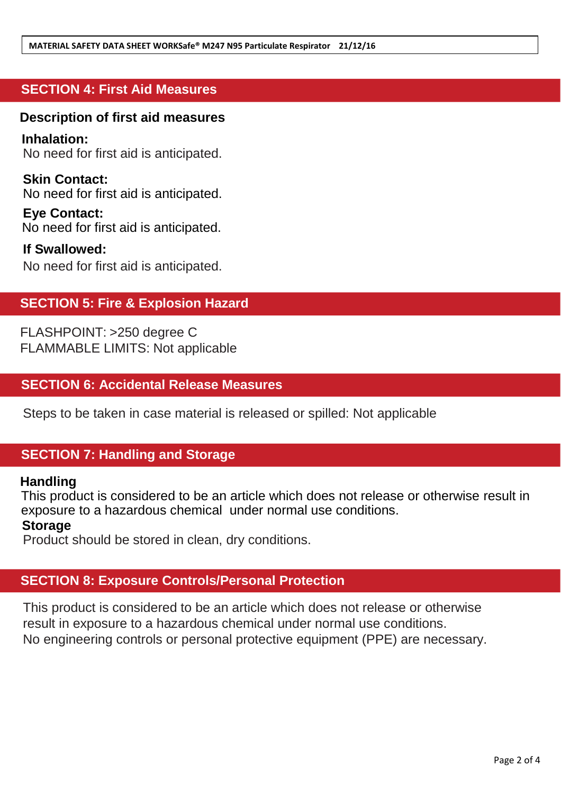#### **MATERIAL SAFETY DATA SHEET WORKSafe® M247 N95 Particulate Respirator 21/12/16**

### **SECTION 4: First Aid Measures**

### **Description of first aid measures**

**Inhalation:** No need for first aid is anticipated.

**Skin Contact:** No need for first aid is anticipated.

**Eye Contact:** No need for first aid is anticipated.

**If Swallowed:** No need for first aid is anticipated.

### **SECTION 5: Fire & Explosion Hazard**

FLASHPOINT: >250 degree C FLAMMABLE LIMITS: Not applicable

### **SECTION 6: Accidental Release Measures**

Steps to be taken in case material is released or spilled: Not applicable

### **SECTION 7: Handling and Storage**

#### **Handling**

This product is considered to be an article which does not release or otherwise result in exposure to a hazardous chemical under normal use conditions.

#### **Storage**

Product should be stored in clean, dry conditions.

### **SECTION 8: Exposure Controls/Personal Protection**

This product is considered to be an article which does not release or otherwise result in exposure to a hazardous chemical under normal use conditions. No engineering controls or personal protective equipment (PPE) are necessary.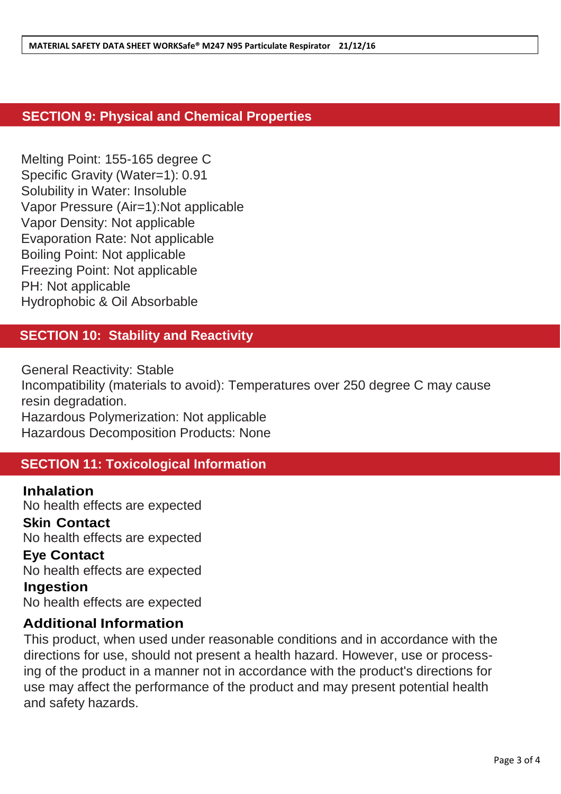### **SECTION 9: Physical and Chemical Properties**

Melting Point: 155-165 degree C Specific Gravity (Water=1): 0.91 Solubility in Water: Insoluble Vapor Pressure (Air=1):Not applicable Vapor Density: Not applicable Evaporation Rate: Not applicable Boiling Point: Not applicable Freezing Point: Not applicable PH: Not applicable Hydrophobic & Oil Absorbable

### **SECTION 10: Stability and Reactivity**

General Reactivity: Stable Incompatibility (materials to avoid): Temperatures over 250 degree C may cause resin degradation. Hazardous Polymerization: Not applicable Hazardous Decomposition Products: None

### **SECTION 11: Toxicological Information**

**Inhalation** No health effects are expected **Skin Contact**

No health effects are expected

**Eye Contact** No health effects are expected

**Ingestion** No health effects are expected

### **Additional Information**

This product, when used under reasonable conditions and in accordance with the directions for use, should not present a health hazard. However, use or processing of the product in a manner not in accordance with the product's directions for use may affect the performance of the product and may present potential health and safety hazards.